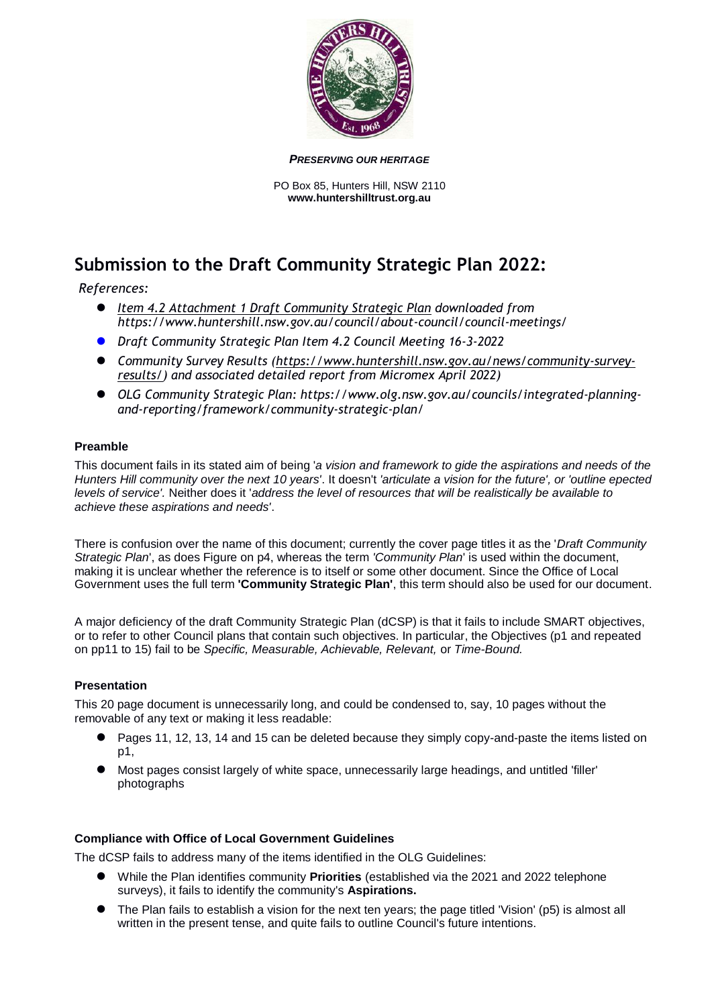

*PRESERVING OUR HERITAGE*

PO Box 85, Hunters Hill, NSW 2110 **www.huntershilltrust.org.au**

# **Submission to the Draft Community Strategic Plan 2022:**

*References:*

- *[Item 4.2 Attachment 1 Draft Community Strategic Plan](https://www.huntershill.nsw.gov.au/wp-content/uploads/2022/05/Item-4.2-Attachment-1-Draft-Community-Strategic-Plan.pdf) downloaded from https://www.huntershill.nsw.gov.au/council/about-council/council-meetings/*
- *Draft Community Strategic Plan Item 4.2 Council Meeting 16-3-2022*
- *Community Survey Results [\(https://www.huntershill.nsw.gov.au/news/community-survey](https://www.huntershill.nsw.gov.au/news/community-survey-results/)[results/\)](https://www.huntershill.nsw.gov.au/news/community-survey-results/) and associated detailed report from Micromex April 2022)*
- *OLG Community Strategic Plan: https://www.olg.nsw.gov.au/councils/integrated-planningand-reporting/framework/community-strategic-plan/*

## **Preamble**

This document fails in its stated aim of being '*a vision and framework to gide the aspirations and needs of the Hunters Hill community over the next 10 years'*. It doesn't *'articulate a vision for the future', or 'outline epected levels of service'.* Neither does it '*address the level of resources that will be realistically be available to achieve these aspirations and needs'*.

There is confusion over the name of this document; currently the cover page titles it as the '*Draft Community Strategic Plan*', as does Figure on p4, whereas the term *'Community Plan*' is used within the document, making it is unclear whether the reference is to itself or some other document. Since the Office of Local Government uses the full term **'Community Strategic Plan'**, this term should also be used for our document.

A major deficiency of the draft Community Strategic Plan (dCSP) is that it fails to include SMART objectives, or to refer to other Council plans that contain such objectives. In particular, the Objectives (p1 and repeated on pp11 to 15) fail to be *Specific, Measurable, Achievable, Relevant,* or *Time-Bound.*

## **Presentation**

This 20 page document is unnecessarily long, and could be condensed to, say, 10 pages without the removable of any text or making it less readable:

- Pages 11, 12, 13, 14 and 15 can be deleted because they simply copy-and-paste the items listed on p1,
- Most pages consist largely of white space, unnecessarily large headings, and untitled 'filler' photographs

## **Compliance with Office of Local Government Guidelines**

The dCSP fails to address many of the items identified in the OLG Guidelines:

- While the Plan identifies community **Priorities** (established via the 2021 and 2022 telephone surveys), it fails to identify the community's **Aspirations.**
- The Plan fails to establish a vision for the next ten years; the page titled 'Vision' (p5) is almost all written in the present tense, and quite fails to outline Council's future intentions.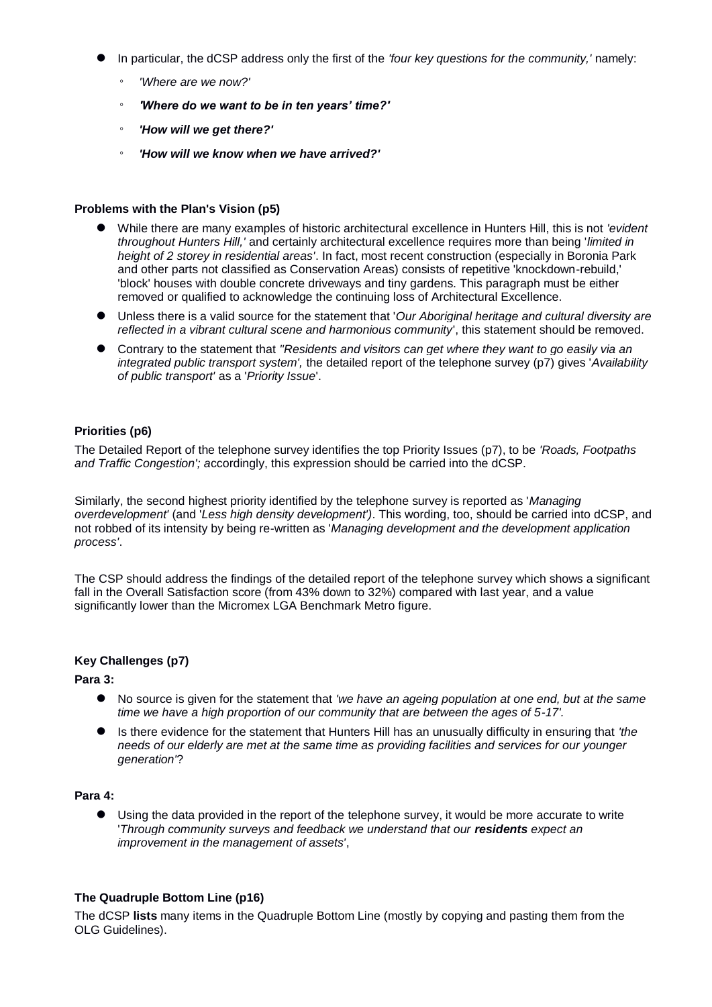- In particular, the dCSP address only the first of the *'four key questions for the community,'* namely:
	- *'Where are we now?'*
	- *'Where do we want to be in ten years' time?'*
	- *'How will we get there?'*
	- *'How will we know when we have arrived?'*

#### **Problems with the Plan's Vision (p5)**

- While there are many examples of historic architectural excellence in Hunters Hill, this is not *'evident throughout Hunters Hill,'* and certainly architectural excellence requires more than being '*limited in height of 2 storey in residential areas'*. In fact, most recent construction (especially in Boronia Park and other parts not classified as Conservation Areas) consists of repetitive 'knockdown-rebuild,' 'block' houses with double concrete driveways and tiny gardens. This paragraph must be either removed or qualified to acknowledge the continuing loss of Architectural Excellence.
- Unless there is a valid source for the statement that '*Our Aboriginal heritage and cultural diversity are reflected in a vibrant cultural scene and harmonious community*', this statement should be removed.
- Contrary to the statement that *''Residents and visitors can get where they want to go easily via an integrated public transport system',* the detailed report of the telephone survey (p7) gives '*Availability of public transport'* as a '*Priority Issue*'.

#### **Priorities (p6)**

The Detailed Report of the telephone survey identifies the top Priority Issues (p7), to be *'Roads, Footpaths and Traffic Congestion'; a*ccordingly, this expression should be carried into the dCSP.

Similarly, the second highest priority identified by the telephone survey is reported as '*Managing overdevelopment'* (and '*Less high density development')*. This wording, too, should be carried into dCSP, and not robbed of its intensity by being re-written as '*Managing development and the development application process'*.

The CSP should address the findings of the detailed report of the telephone survey which shows a significant fall in the Overall Satisfaction score (from 43% down to 32%) compared with last year, and a value significantly lower than the Micromex LGA Benchmark Metro figure.

## **Key Challenges (p7)**

#### **Para 3:**

- No source is given for the statement that *'we have an ageing population at one end, but at the same time we have a high proportion of our community that are between the ages of 5-17'.*
- Is there evidence for the statement that Hunters Hill has an unusually difficulty in ensuring that *'the needs of our elderly are met at the same time as providing facilities and services for our younger generation'*?

#### **Para 4:**

 Using the data provided in the report of the telephone survey, it would be more accurate to write '*Through community surveys and feedback we understand that our residents expect an improvement in the management of assets'*,

## **The Quadruple Bottom Line (p16)**

The dCSP **lists** many items in the Quadruple Bottom Line (mostly by copying and pasting them from the OLG Guidelines).